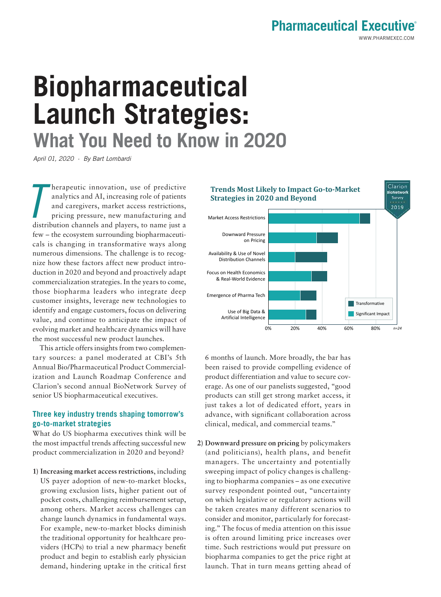## **Pharmaceutical Executive®**

# **Biopharmaceutical Launch Strategies: What You Need to Know in 2020**

April 01, 2020 · By Bart Lombardi

 $\overline{I}$ herapeutic innovation, use of predictive analytics and AI, increasing role of patients and caregivers, market access restrictions, pricing pressure, new manufacturing and distribution channels and players, to name just a few – the ecosystem surrounding biopharmaceuticals is changing in transformative ways along numerous dimensions. The challenge is to recognize how these factors affect new product introduction in 2020 and beyond and proactively adapt commercialization strategies. In the years to come, those biopharma leaders who integrate deep customer insights, leverage new technologies to identify and engage customers, focus on delivering value, and continue to anticipate the impact of evolving market and healthcare dynamics will have the most successful new product launches.

This article offers insights from two complementary sources: a panel moderated at CBI's 5th Annual Bio/Pharmaceutical Product Commercialization and Launch Roadmap Conference and Clarion's second annual BioNetwork Survey of senior US biopharmaceutical executives.

### **Three key industry trends shaping tomorrow's go-to-market strategies**

What do US biopharma executives think will be the most impactful trends affecting successful new product commercialization in 2020 and beyond?

**1) Increasing market access restrictions**, including US payer adoption of new-to-market blocks, growing exclusion lists, higher patient out of pocket costs, challenging reimbursement setup, among others. Market access challenges can change launch dynamics in fundamental ways. For example, new-to-market blocks diminish the traditional opportunity for healthcare providers (HCPs) to trial a new pharmacy benefit product and begin to establish early physician demand, hindering uptake in the critical first



6 months of launch. More broadly, the bar has been raised to provide compelling evidence of product differentiation and value to secure coverage. As one of our panelists suggested, "good products can still get strong market access, it just takes a lot of dedicated effort, years in advance, with significant collaboration across clinical, medical, and commercial teams."

**2) Downward pressure on pricing** by policymakers (and politicians), health plans, and benefit managers. The uncertainty and potentially sweeping impact of policy changes is challenging to biopharma companies – as one executive survey respondent pointed out, "uncertainty on which legislative or regulatory actions will be taken creates many different scenarios to consider and monitor, particularly for forecasting." The focus of media attention on this issue is often around limiting price increases over time. Such restrictions would put pressure on biopharma companies to get the price right at launch. That in turn means getting ahead of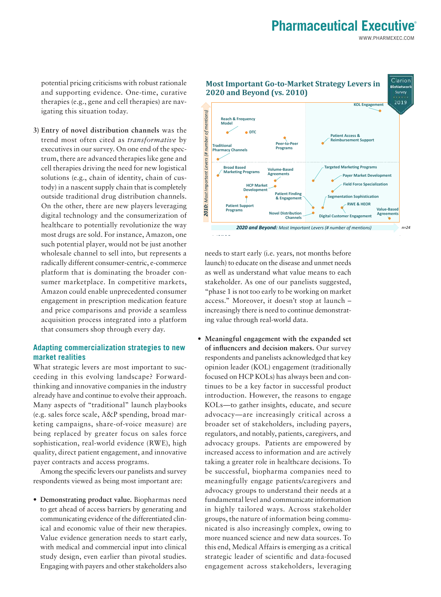## **Pharmaceutical Executive®**

WWW.PHARMEXEC.COM

potential pricing criticisms with robust rationale and supporting evidence. One-time, curative therapies (e.g., gene and cell therapies) are navigating this situation today.

**3) Entry of novel distribution channels** was the trend most often cited as *transformative* by executives in our survey. On one end of the spectrum, there are advanced therapies like gene and cell therapies driving the need for new logistical solutions (e.g., chain of identity, chain of custody) in a nascent supply chain that is completely outside traditional drug distribution channels. On the other, there are new players leveraging digital technology and the consumerization of healthcare to potentially revolutionize the way most drugs are sold. For instance, Amazon, one such potential player, would not be just another wholesale channel to sell into, but represents a radically different consumer-centric, e-commerce platform that is dominating the broader consumer marketplace. In competitive markets, Amazon could enable unprecedented consumer engagement in prescription medication feature and price comparisons and provide a seamless acquisition process integrated into a platform that consumers shop through every day.

#### **Adapting commercialization strategies to new market realities**

What strategic levers are most important to succeeding in this evolving landscape? Forwardthinking and innovative companies in the industry already have and continue to evolve their approach. Many aspects of "traditional" launch playbooks (e.g. sales force scale, A&P spending, broad marketing campaigns, share-of-voice measure) are being replaced by greater focus on sales force sophistication, real-world evidence (RWE), high quality, direct patient engagement, and innovative payer contracts and access programs.

Among the specific levers our panelists and survey respondents viewed as being most important are:

**• Demonstrating product value.** Biopharmas need to get ahead of access barriers by generating and communicating evidence of the differentiated clinical and economic value of their new therapies. Value evidence generation needs to start early, with medical and commercial input into clinical study design, even earlier than pivotal studies. Engaging with payers and other stakeholders also



needs to start early (i.e. years, not months before launch) to educate on the disease and unmet needs as well as understand what value means to each stakeholder. As one of our panelists suggested, "phase 1 is not too early to be working on market access." Moreover, it doesn't stop at launch – increasingly there is need to continue demonstrating value through real-world data.

**• Meaningful engagement with the expanded set of influencers and decision makers.** Our survey respondents and panelists acknowledged that key opinion leader (KOL) engagement (traditionally focused on HCP KOLs) has always been and continues to be a key factor in successful product introduction. However, the reasons to engage KOLs—to gather insights, educate, and secure advocacy—are increasingly critical across a broader set of stakeholders, including payers, regulators, and notably, patients, caregivers, and advocacy groups. Patients are empowered by increased access to information and are actively taking a greater role in healthcare decisions. To be successful, biopharma companies need to meaningfully engage patients/caregivers and advocacy groups to understand their needs at a fundamental level and communicate information in highly tailored ways. Across stakeholder groups, the nature of information being communicated is also increasingly complex, owing to more nuanced science and new data sources. To this end, Medical Affairs is emerging as a critical strategic leader of scientific and data-focused engagement across stakeholders, leveraging